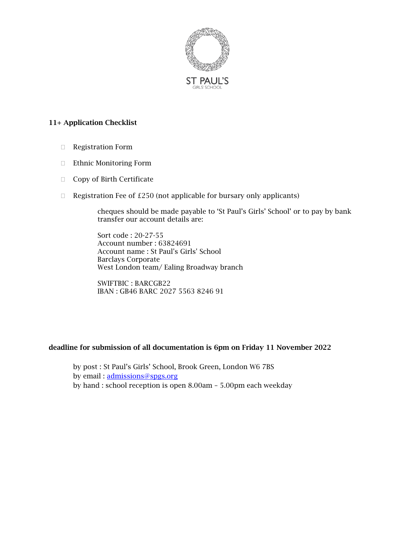

#### 11+ Application Checklist

- Registration Form
- Ethnic Monitoring Form
- □ Copy of Birth Certificate
- $\Box$  Registration Fee of £250 (not applicable for bursary only applicants)

cheques should be made payable to 'St Paul's Girls' School' or to pay by bank transfer our account details are:

Sort code : 20-27-55 Account number : 63824691 Account name : St Paul's Girls' School Barclays Corporate West London team/ Ealing Broadway branch

SWIFTBIC : BARCGB22 IBAN : GB46 BARC 2027 5563 8246 91

#### deadline for submission of all documentation is 6pm on Friday 11 November 2022

by post : St Paul's Girls' School, Brook Green, London W6 7BS by email : [admissions@spgs.org](mailto:admissions@spgs.org)  by hand : school reception is open 8.00am – 5.00pm each weekday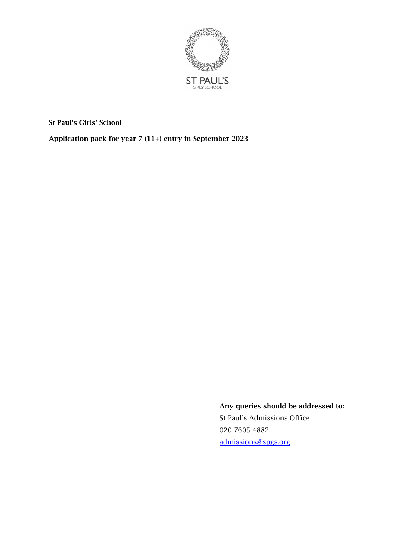

St Paul's Girls' School

Application pack for year 7 (11+) entry in September 2023

Any queries should be addressed to: St Paul's Admissions Office 020 7605 4882 [admissions@spgs.org](mailto:admissions@spgs.org)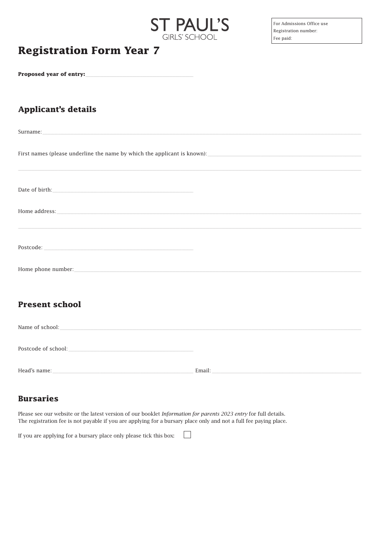#### **Registration Form Year 7**

#### Proposed year of entry:

#### **Applicant's details**

| Surname: contract and contract and contract and contract and contract and contract and contract and contract and contract and contract and contract and contract and contract and contract and contract and contract and contr |
|--------------------------------------------------------------------------------------------------------------------------------------------------------------------------------------------------------------------------------|
|                                                                                                                                                                                                                                |
|                                                                                                                                                                                                                                |
| ,我们也不能在这里的人,我们也不能在这里的人,我们也不能在这里的人,我们也不能在这里的人,我们也不能在这里的人,我们也不能在这里的人,我们也不能在这里的人,我们也                                                                                                                                              |
|                                                                                                                                                                                                                                |
| Date of birth: $\hspace{1.5cm}$                                                                                                                                                                                                |
|                                                                                                                                                                                                                                |
| $Home\,address: \underline{\hspace{2cm}}$                                                                                                                                                                                      |
|                                                                                                                                                                                                                                |
|                                                                                                                                                                                                                                |
|                                                                                                                                                                                                                                |
|                                                                                                                                                                                                                                |
| Home phone number: New York Changes and Security and Security and Security and Security and Security and Security and Security and Security and Security and Security and Security and Security and Security and Security and  |
|                                                                                                                                                                                                                                |
|                                                                                                                                                                                                                                |
|                                                                                                                                                                                                                                |
| <b>Present school</b>                                                                                                                                                                                                          |

**ST PAUL'S** 

**GIRLS' SCHOOL** 

| Name of school:     |                   |
|---------------------|-------------------|
| Postcode of school: |                   |
| Haad's name         | $F_{\text{mail}}$ |

 $\Box$ 

#### **Bursaries**

Please see our website or the latest version of our booklet Information for parents 2023 entry for full details. The registration fee is not payable if you are applying for a bursary place only and not a full fee paying place.

If you are applying for a bursary place only please tick this box: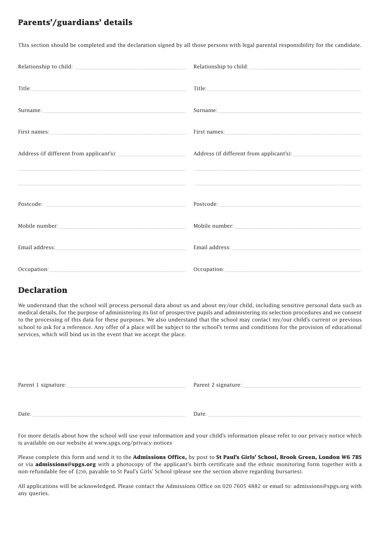#### **Parents'/guardians' details**

This section should be completed and the declaration signed by all those persons with legal parental responsibility for the candidate.

| Relationship to child: National Assembly and Assembly and Assembly and Assembly and Assembly and Assembly and Assembly and Assembly and Assembly and Assembly and Assembly and Assembly and Assembly and Assembly and Assembly |
|--------------------------------------------------------------------------------------------------------------------------------------------------------------------------------------------------------------------------------|
|                                                                                                                                                                                                                                |
| Title: The contract of the contract of the contract of the contract of the contract of the contract of the contract of the contract of the contract of the contract of the contract of the contract of the contract of the con |
|                                                                                                                                                                                                                                |
|                                                                                                                                                                                                                                |
|                                                                                                                                                                                                                                |
|                                                                                                                                                                                                                                |
|                                                                                                                                                                                                                                |
|                                                                                                                                                                                                                                |
|                                                                                                                                                                                                                                |
|                                                                                                                                                                                                                                |
|                                                                                                                                                                                                                                |
|                                                                                                                                                                                                                                |
|                                                                                                                                                                                                                                |
| Occupation: New York Street, New York Street, New York Street, New York Street, New York Street, New York Street, New York Street, New York Street, New York Street, New York Street, New York Street, New York Street, New Yo |

#### **Declaration**

We understand that the school will process personal data about us and about my/our child, including sensitive personal data such as medical details, for the purpose of administering its list of prospective pupils and administering its selection procedures and we consent to the processing of this data for these purposes. We also understand that the school may contact my/our child's current or previous school to ask for a reference. Any offer of a place will be subject to the school's terms and conditions for the provision of educational services, which will bind us in the event that we accept the place.

| Parent 1 signature: | Parent 2 signature: |
|---------------------|---------------------|
|                     |                     |
| Date:               | Date:               |

For more details about how the school will use your information and your child's information please refer to our privacy notice which is available on our website at www.spgs.org/privacy-notices

Please complete this form and send it to the **Admissions Office,** by post to **St Paul's Girls' School, Brook Green, London W6 7BS**  or via **admissions@spgs.org** with a photocopy of the applicant's birth certificate and the ethnic monitoring form together with a non-refundable fee of £250, payable to St Paul's Girls' School (please see the section above regarding bursaries).

All applications will be acknowledged. Please contact the Admissions Office on 020 7605 4882 or email to: admissions@spgs.org with any queries.